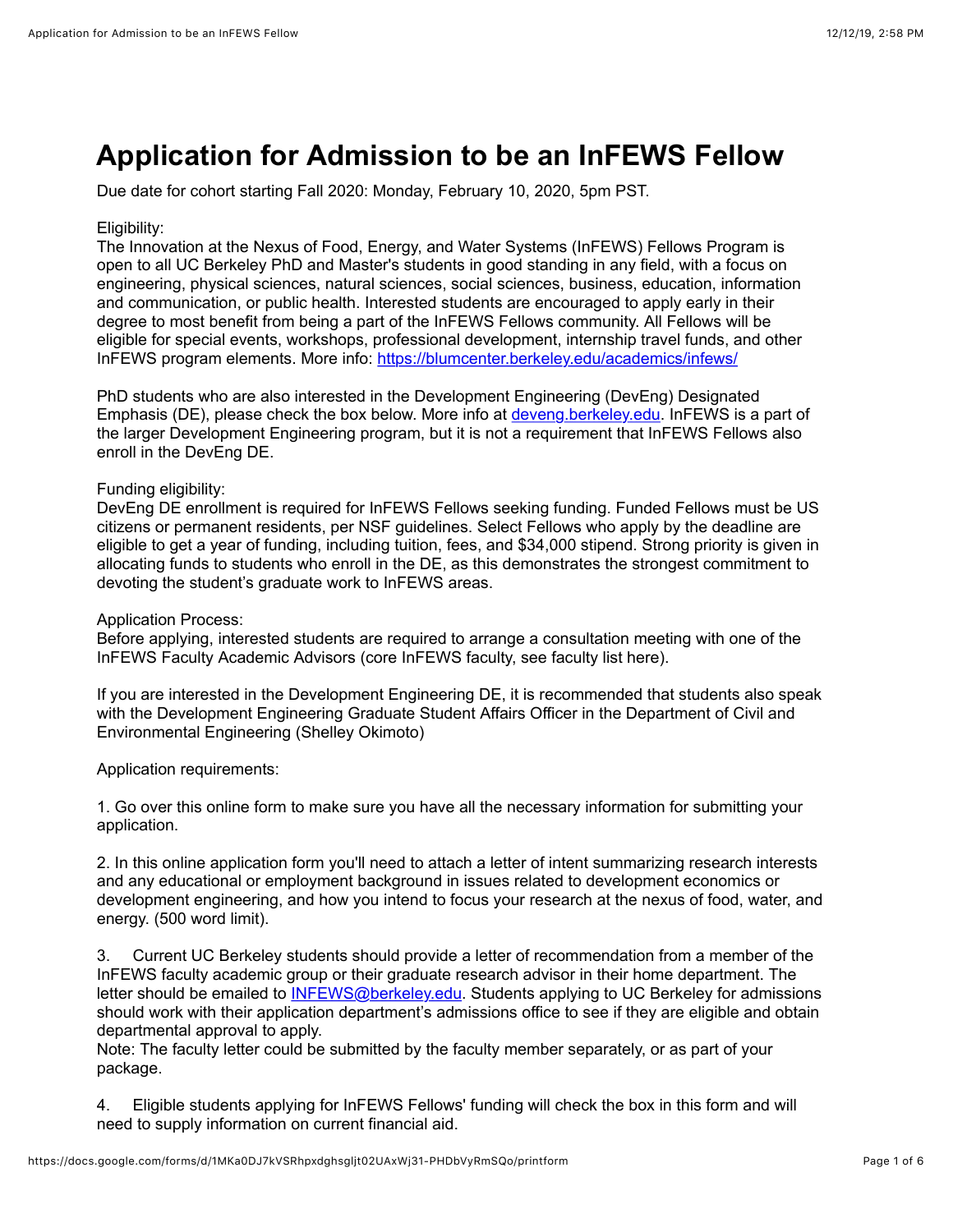# **Application for Admission to be an InFEWS Fellow**

Due date for cohort starting Fall 2020: Monday, February 10, 2020, 5pm PST.

#### Eligibility:

The Innovation at the Nexus of Food, Energy, and Water Systems (InFEWS) Fellows Program is open to all UC Berkeley PhD and Master's students in good standing in any field, with a focus on engineering, physical sciences, natural sciences, social sciences, business, education, information and communication, or public health. Interested students are encouraged to apply early in their degree to most benefit from being a part of the InFEWS Fellows community. All Fellows will be eligible for special events, workshops, professional development, internship travel funds, and other InFEWS program elements. More info: [https://blumcenter.berkeley.edu/academics/infews/](https://www.google.com/url?q=https://blumcenter.berkeley.edu/academics/infews/&sa=D&ust=1576195058137000&usg=AFQjCNE2JKUuyor6xspKDRTvvJng-RTVbw)

PhD students who are also interested in the Development Engineering (DevEng) Designated Emphasis (DE), please check the box below. More info at [deveng.berkeley.edu](https://www.google.com/url?q=http://deveng.berkeley.edu&sa=D&ust=1576195058137000&usg=AFQjCNG3yIKUq28cVcry5fP9b4X4S8Yrfw). InFEWS is a part of the larger Development Engineering program, but it is not a requirement that InFEWS Fellows also enroll in the DevEng DE.

#### Funding eligibility:

DevEng DE enrollment is required for InFEWS Fellows seeking funding. Funded Fellows must be US citizens or permanent residents, per NSF guidelines. Select Fellows who apply by the deadline are eligible to get a year of funding, including tuition, fees, and \$34,000 stipend. Strong priority is given in allocating funds to students who enroll in the DE, as this demonstrates the strongest commitment to devoting the student's graduate work to InFEWS areas.

#### Application Process:

Before applying, interested students are required to arrange a consultation meeting with one of the InFEWS Faculty Academic Advisors (core InFEWS faculty, see faculty list here).

If you are interested in the Development Engineering DE, it is recommended that students also speak with the Development Engineering Graduate Student Affairs Officer in the Department of Civil and Environmental Engineering (Shelley Okimoto)

Application requirements:

1. Go over this online form to make sure you have all the necessary information for submitting your application.

2. In this online application form you'll need to attach a letter of intent summarizing research interests and any educational or employment background in issues related to development economics or development engineering, and how you intend to focus your research at the nexus of food, water, and energy. (500 word limit).

3. Current UC Berkeley students should provide a letter of recommendation from a member of the InFEWS faculty academic group or their graduate research advisor in their home department. The letter should be emailed to **INFEWS@berkeley.edu**. Students applying to UC Berkeley for admissions should work with their application department's admissions office to see if they are eligible and obtain departmental approval to apply.

Note: The faculty letter could be submitted by the faculty member separately, or as part of your package.

4. Eligible students applying for InFEWS Fellows' funding will check the box in this form and will need to supply information on current financial aid.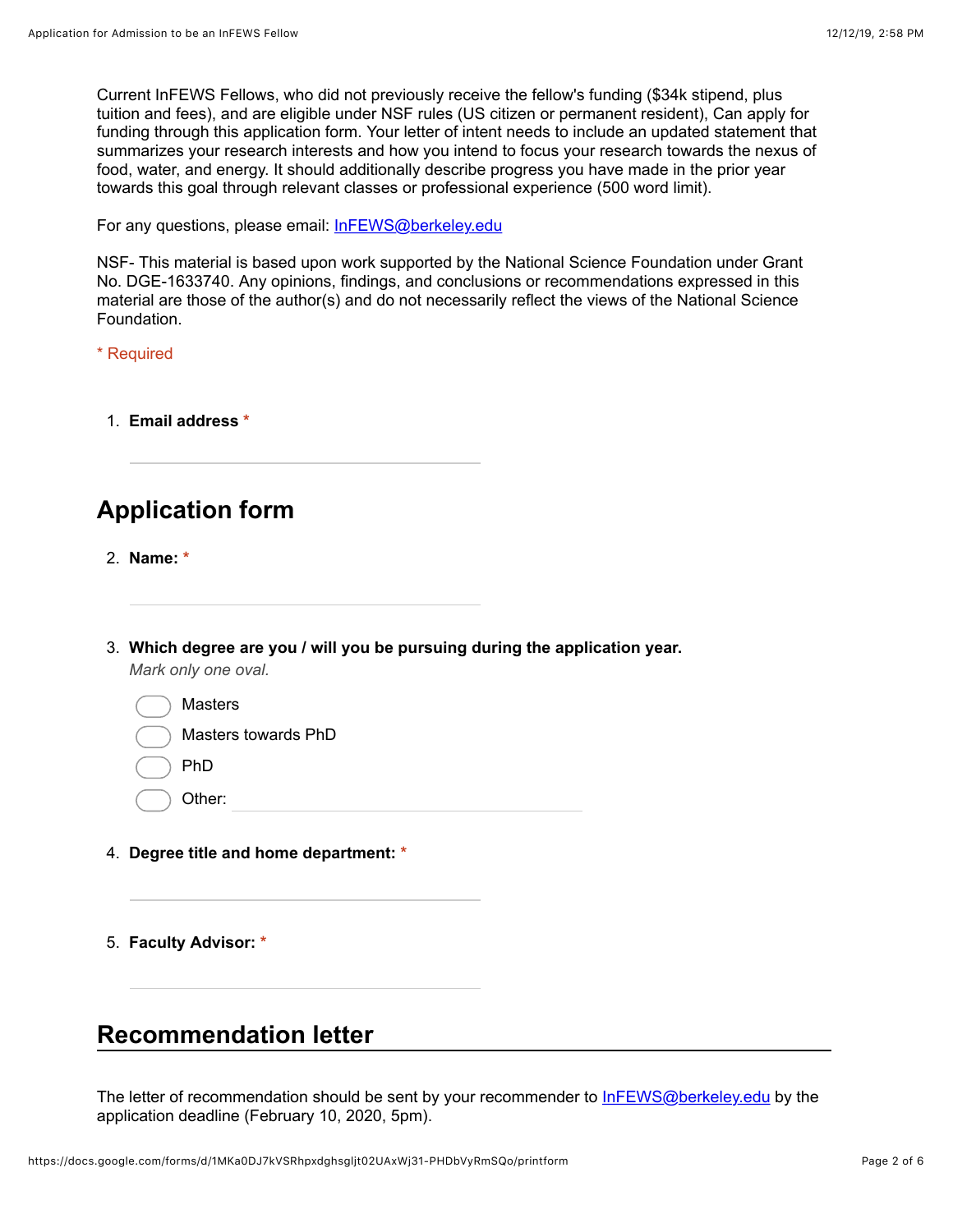Current InFEWS Fellows, who did not previously receive the fellow's funding (\$34k stipend, plus tuition and fees), and are eligible under NSF rules (US citizen or permanent resident), Can apply for funding through this application form. Your letter of intent needs to include an updated statement that summarizes your research interests and how you intend to focus your research towards the nexus of food, water, and energy. It should additionally describe progress you have made in the prior year towards this goal through relevant classes or professional experience (500 word limit).

For any questions, please email: [InFEWS@berkeley.edu](mailto:InFEWS@berkeley.edu)

NSF- This material is based upon work supported by the National Science Foundation under Grant No. DGE-1633740. Any opinions, findings, and conclusions or recommendations expressed in this material are those of the author(s) and do not necessarily reflect the views of the National Science Foundation.

\* Required

1. **Email address \***

# **Application form**

- 2. **Name: \***
- 3. **Which degree are you / will you be pursuing during the application year.** *Mark only one oval.*

| <b>Masters</b>      |
|---------------------|
| Masters towards PhD |
| PhD                 |
| Other:              |

- 
- 4. **Degree title and home department: \***
- 5. **Faculty Advisor: \***

### **Recommendation letter**

The letter of recommendation should be sent by your recommender to [InFEWS@berkeley.edu](mailto:InFEWS@berkeley.edu) by the application deadline (February 10, 2020, 5pm).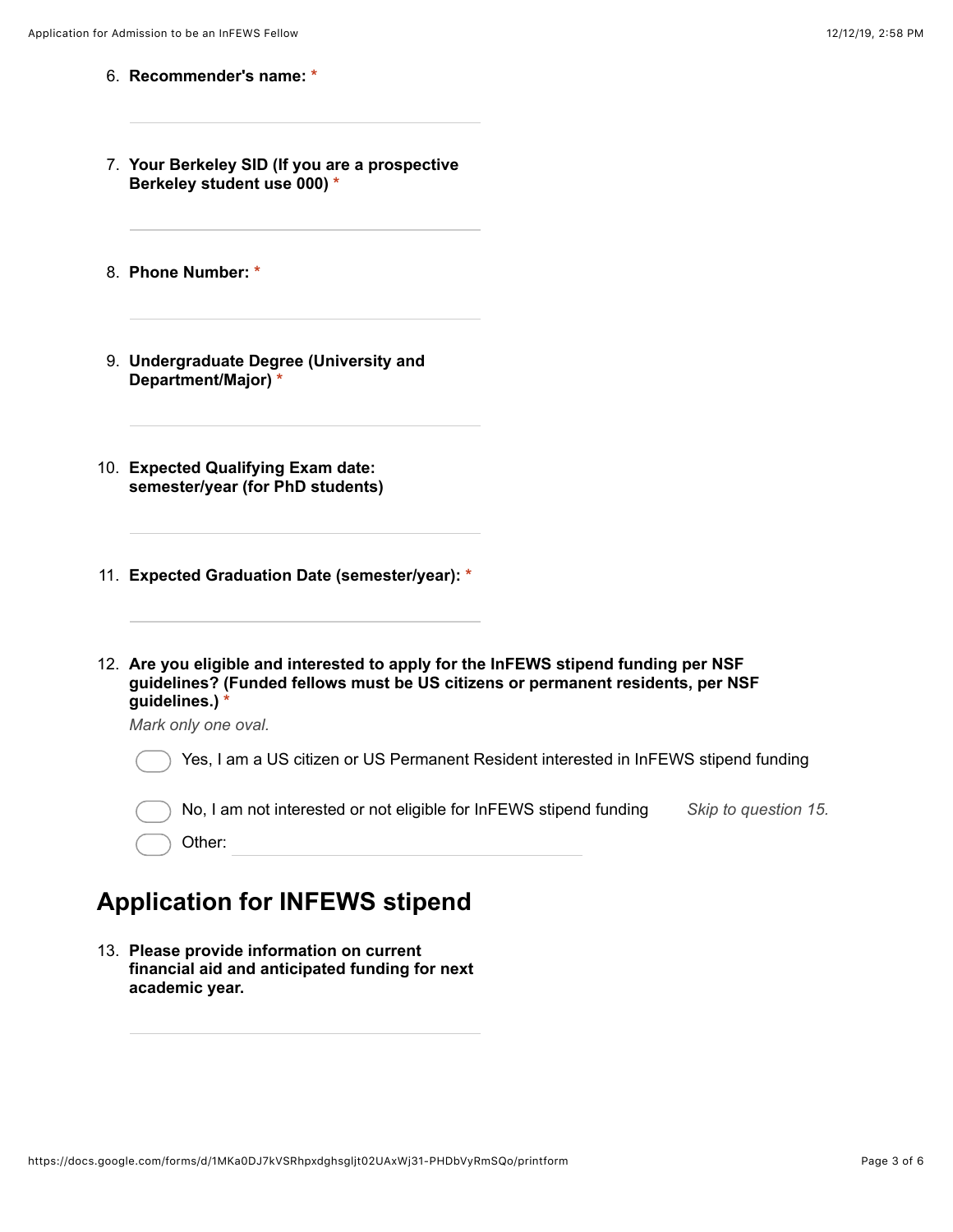- 6. **Recommender's name: \***
- 7. **Your Berkeley SID (If you are a prospective Berkeley student use 000) \***
- 8. **Phone Number: \***
- 9. **Undergraduate Degree (University and Department/Major) \***
- 10. **Expected Qualifying Exam date: semester/year (for PhD students)**
- 11. **Expected Graduation Date (semester/year): \***
- 12. **Are you eligible and interested to apply for the InFEWS stipend funding per NSF guidelines? (Funded fellows must be US citizens or permanent residents, per NSF guidelines.) \***

*Mark only one oval.*

| () Yes, I am a US citizen or US Permanent Resident interested in InFEWS stipend funding |                      |
|-----------------------------------------------------------------------------------------|----------------------|
| $($ $)$ No, I am not interested or not eligible for InFEWS stipend funding              | Skip to question 15. |
| $\bigcirc$ Other:                                                                       |                      |

### **Application for INFEWS stipend**

13. **Please provide information on current financial aid and anticipated funding for next academic year.**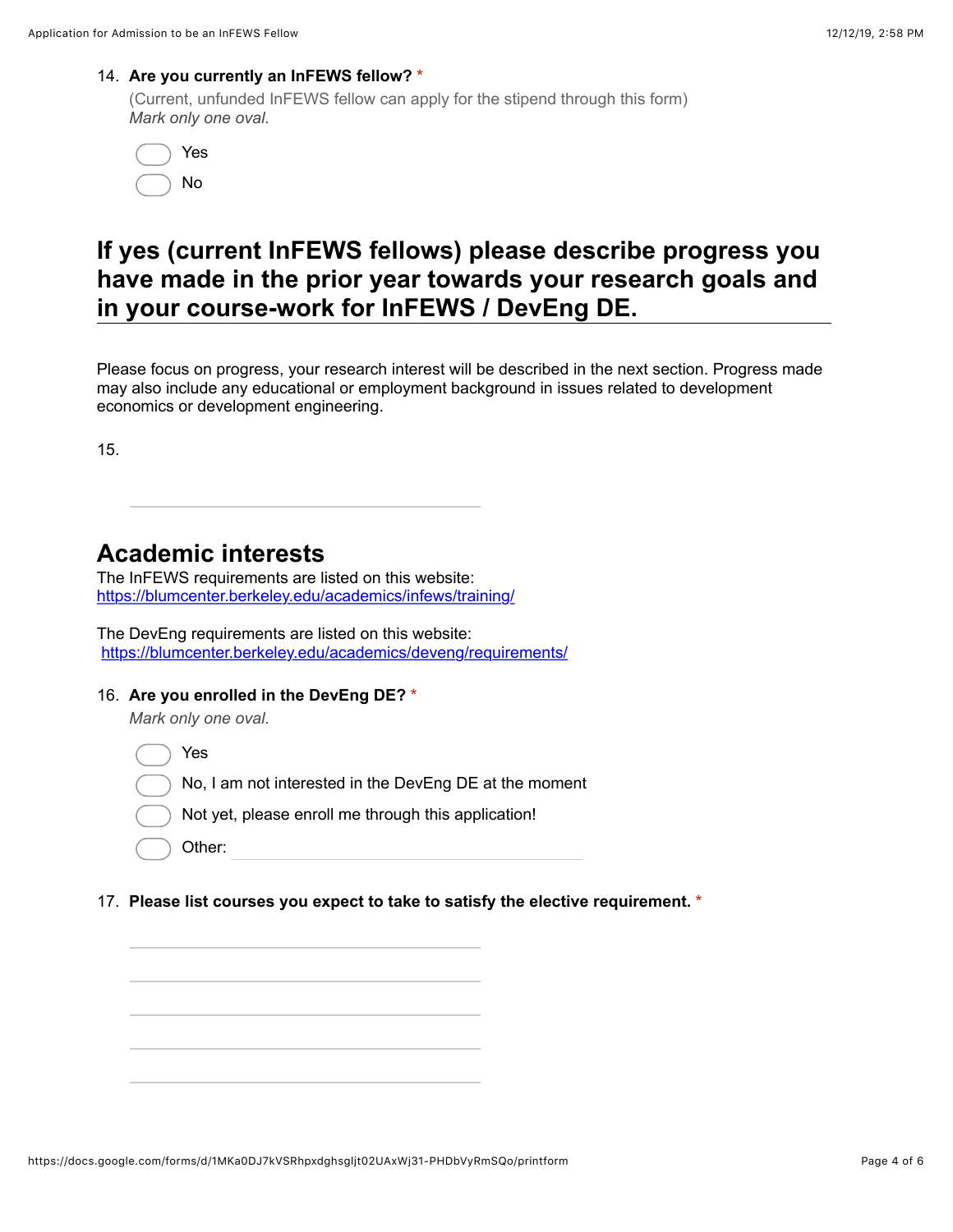#### 14. **Are you currently an InFEWS fellow? \***

(Current, unfunded InFEWS fellow can apply for the stipend through this form) *Mark only one oval.*

| Yes |
|-----|
| No  |

## **If yes (current InFEWS fellows) please describe progress you have made in the prior year towards your research goals and in your course-work for InFEWS / DevEng DE.**

Please focus on progress, your research interest will be described in the next section. Progress made may also include any educational or employment background in issues related to development economics or development engineering.

15.

### **Academic interests**

The InFEWS requirements are listed on this website: [https://blumcenter.berkeley.edu/academics/infews/training/](https://www.google.com/url?q=https://blumcenter.berkeley.edu/academics/infews/training/&sa=D&ust=1576195058145000&usg=AFQjCNGn2kgWHDBhL-YInCE5hVhFnrM8vw)

The DevEng requirements are listed on this website: [https://blumcenter.berkeley.edu/academics/deveng/requirements/](https://www.google.com/url?q=https://blumcenter.berkeley.edu/academics/deveng/requirements/&sa=D&ust=1576195058145000&usg=AFQjCNEQaFgMZcoQrAX-S4llcxNH24JKpQ)

#### 16. **Are you enrolled in the DevEng DE? \***

*Mark only one oval.*

Yes

- No, I am not interested in the DevEng DE at the moment
	- Not yet, please enroll me through this application!

17. **Please list courses you expect to take to satisfy the elective requirement. \***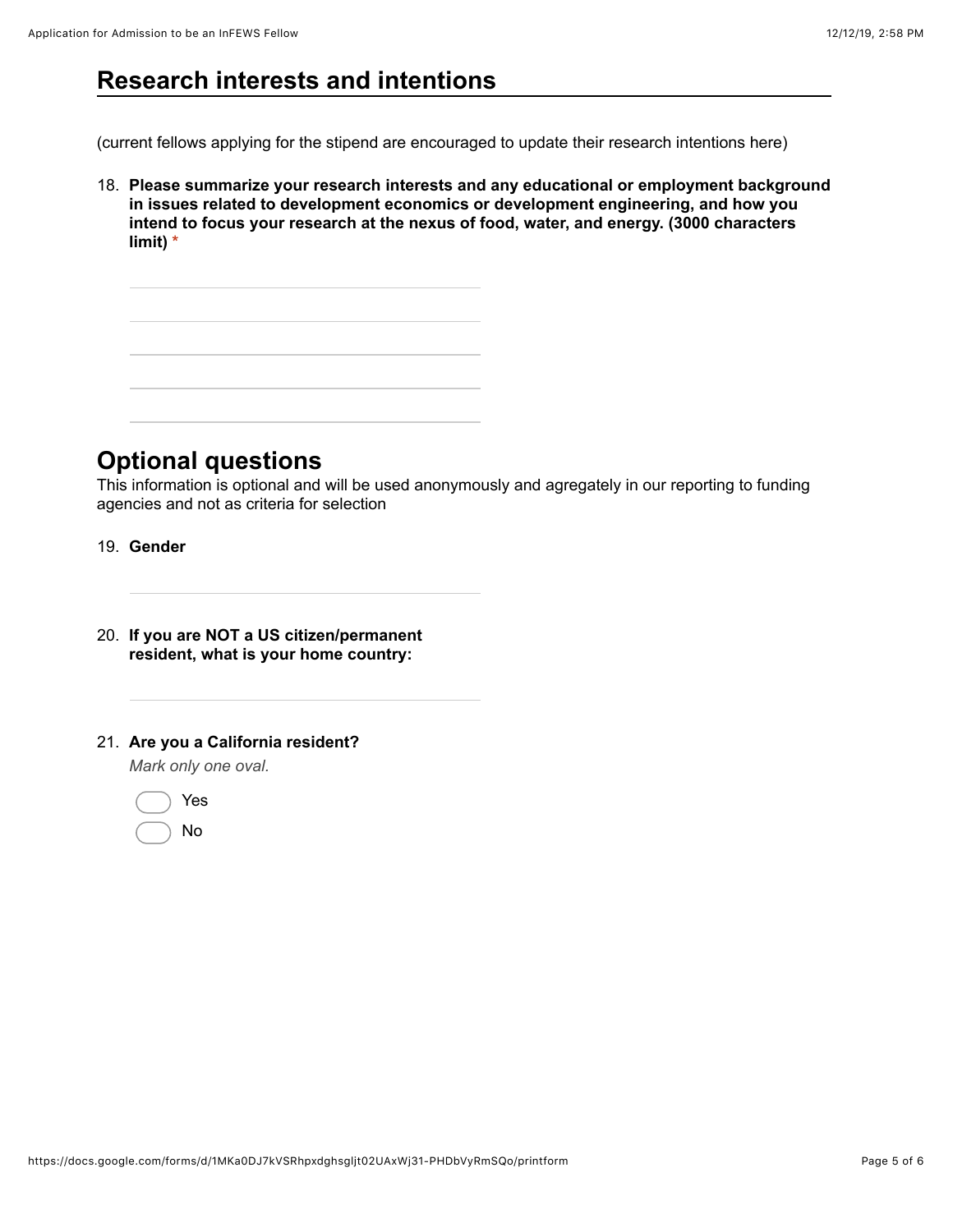## **Research interests and intentions**

(current fellows applying for the stipend are encouraged to update their research intentions here)

18. **Please summarize your research interests and any educational or employment background in issues related to development economics or development engineering, and how you intend to focus your research at the nexus of food, water, and energy. (3000 characters limit) \***



### **Optional questions**

This information is optional and will be used anonymously and agregately in our reporting to funding agencies and not as criteria for selection

- 19. **Gender**
- 20. **If you are NOT a US citizen/permanent resident, what is your home country:**
- 21. **Are you a California resident?**

*Mark only one oval.*

|  | Yes |
|--|-----|
|  | N٥  |